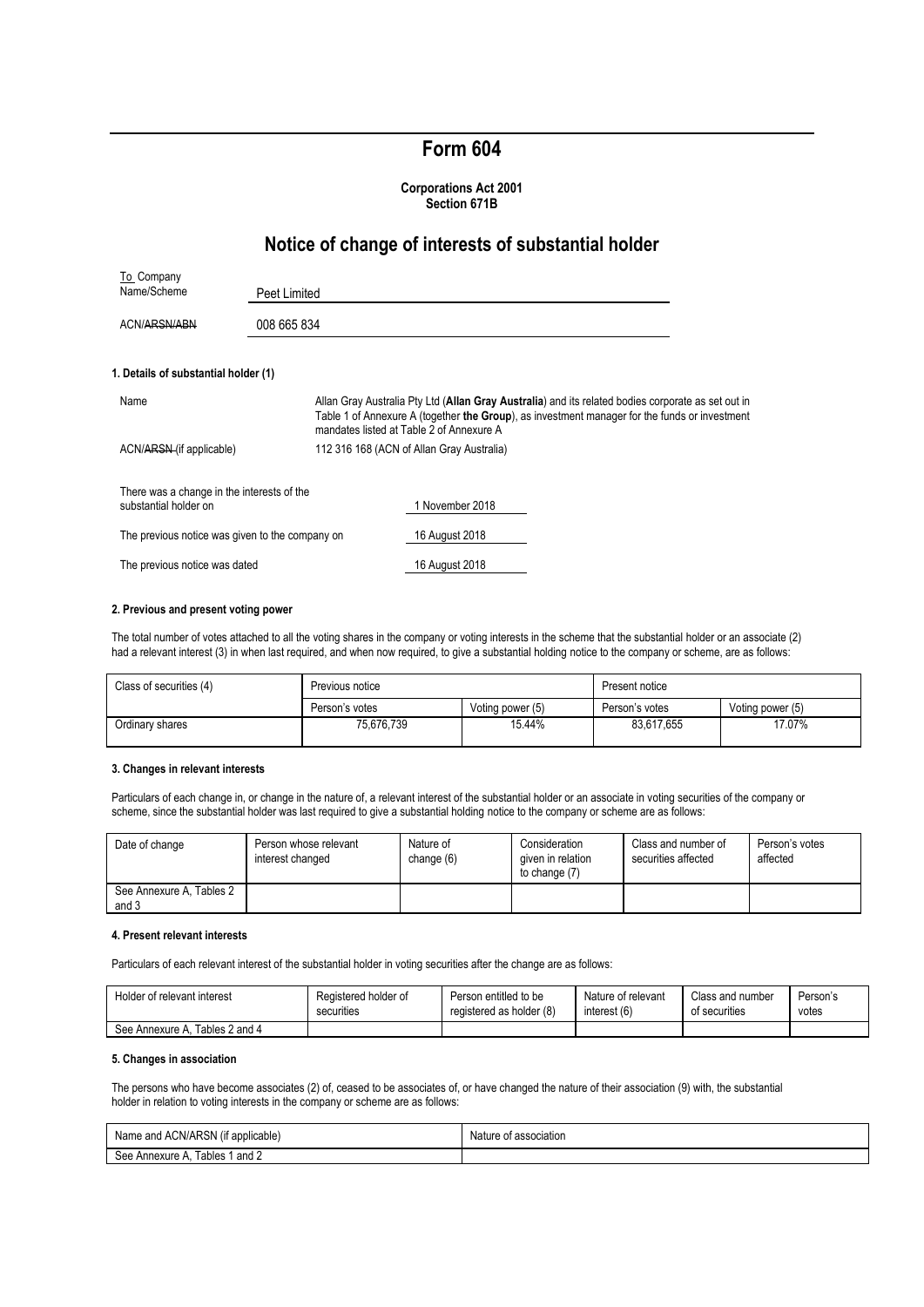# **Form 604**

#### **Corporations Act 2001 Section 671B**

## **Notice of change of interests of substantial holder**

| To Company                                                          |              |                                                                                                                                                                                                                                                 |
|---------------------------------------------------------------------|--------------|-------------------------------------------------------------------------------------------------------------------------------------------------------------------------------------------------------------------------------------------------|
| Name/Scheme                                                         | Peet Limited |                                                                                                                                                                                                                                                 |
| ACN/ARSN/ABN                                                        | 008 665 834  |                                                                                                                                                                                                                                                 |
| 1. Details of substantial holder (1)                                |              |                                                                                                                                                                                                                                                 |
| Name                                                                |              | Allan Gray Australia Pty Ltd (Allan Gray Australia) and its related bodies corporate as set out in<br>Table 1 of Annexure A (together the Group), as investment manager for the funds or investment<br>mandates listed at Table 2 of Annexure A |
| ACN/ARSN (if applicable)                                            |              | 112 316 168 (ACN of Allan Gray Australia)                                                                                                                                                                                                       |
| There was a change in the interests of the<br>substantial holder on |              | 1 November 2018                                                                                                                                                                                                                                 |
| The previous notice was given to the company on                     |              | 16 August 2018                                                                                                                                                                                                                                  |
| The previous notice was dated                                       |              | 16 August 2018                                                                                                                                                                                                                                  |

#### **2. Previous and present voting power**

The total number of votes attached to all the voting shares in the company or voting interests in the scheme that the substantial holder or an associate (2) had a relevant interest (3) in when last required, and when now required, to give a substantial holding notice to the company or scheme, are as follows:

| Class of securities (4) | Previous notice |                  | Present notice |                  |
|-------------------------|-----------------|------------------|----------------|------------------|
|                         | Person's votes  | Voting power (5) | Person's votes | Voting power (5) |
| Ordinary shares         | 75.676.739      | 15.44%           | 83.617.655     | 17.07%           |

#### **3. Changes in relevant interests**

Particulars of each change in, or change in the nature of, a relevant interest of the substantial holder or an associate in voting securities of the company or scheme, since the substantial holder was last required to give a substantial holding notice to the company or scheme are as follows:

| Date of change                    | Person whose relevant<br>interest changed | Nature of<br>change (6) | Consideration<br>given in relation<br>to change (7) | Class and number of<br>securities affected | Person's votes<br>affected |
|-----------------------------------|-------------------------------------------|-------------------------|-----------------------------------------------------|--------------------------------------------|----------------------------|
| See Annexure A, Tables 2<br>and 3 |                                           |                         |                                                     |                                            |                            |

#### **4. Present relevant interests**

Particulars of each relevant interest of the substantial holder in voting securities after the change are as follows:

| Holder of relevant interest       | Registered holder of | Person entitled to be    | Nature of relevant | Class and number | Person's |
|-----------------------------------|----------------------|--------------------------|--------------------|------------------|----------|
|                                   | securities           | registered as holder (8) | interest (6)       | of securities    | votes    |
| Tables 2 and 4<br>See Annexure A. |                      |                          |                    |                  |          |

## **5. Changes in association**

The persons who have become associates (2) of, ceased to be associates of, or have changed the nature of their association (9) with, the substantial holder in relation to voting interests in the company or scheme are as follows:

| Name and ACN/ARSN (if applicable) | Nature of association |
|-----------------------------------|-----------------------|
| See Annexure A. Tables 1 and 2    |                       |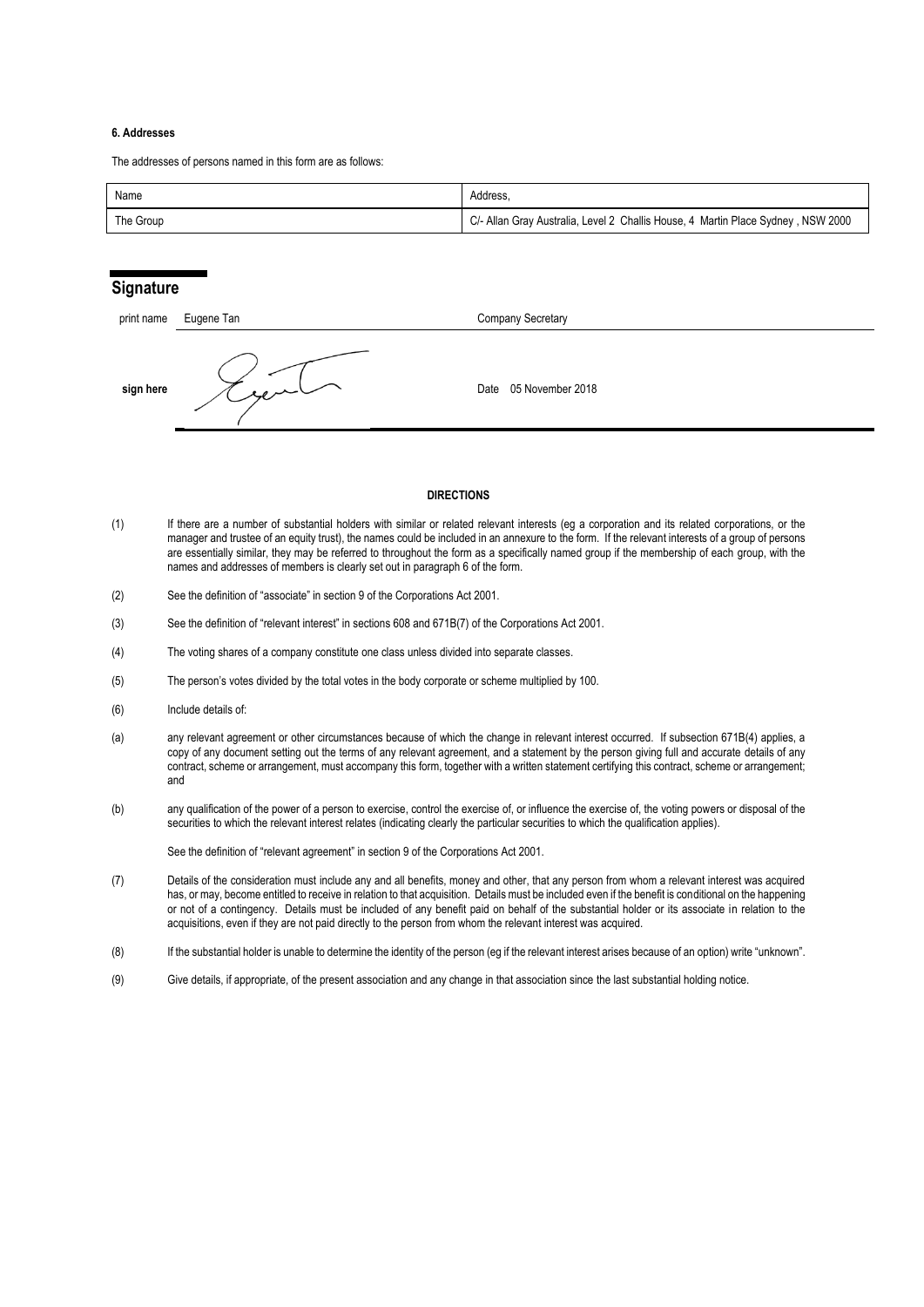#### **6. Addresses**

The addresses of persons named in this form are as follows:

| Name      | Address.                                                                         |
|-----------|----------------------------------------------------------------------------------|
| The Group | C/- Allan Gray Australia, Level 2 Challis House, 4 Martin Place Sydney, NSW 2000 |

## **Signature**

| print name | Eugene Tan | Company Secretary     |
|------------|------------|-----------------------|
| sign here  | ساسترجيه   | Date 05 November 2018 |

#### **DIRECTIONS**

- (1) If there are a number of substantial holders with similar or related relevant interests (eg a corporation and its related corporations, or the manager and trustee of an equity trust), the names could be included in an annexure to the form. If the relevant interests of a group of persons are essentially similar, they may be referred to throughout the form as a specifically named group if the membership of each group, with the names and addresses of members is clearly set out in paragraph 6 of the form.
- (2) See the definition of "associate" in section 9 of the Corporations Act 2001.
- (3) See the definition of "relevant interest" in sections 608 and 671B(7) of the Corporations Act 2001.
- (4) The voting shares of a company constitute one class unless divided into separate classes.
- (5) The person's votes divided by the total votes in the body corporate or scheme multiplied by 100.
- (6) Include details of:
- (a) any relevant agreement or other circumstances because of which the change in relevant interest occurred. If subsection 671B(4) applies, a copy of any document setting out the terms of any relevant agreement, and a statement by the person giving full and accurate details of any contract, scheme or arrangement, must accompany this form, together with a written statement certifying this contract, scheme or arrangement; and
- (b) any qualification of the power of a person to exercise, control the exercise of, or influence the exercise of, the voting powers or disposal of the securities to which the relevant interest relates (indicating clearly the particular securities to which the qualification applies).

See the definition of "relevant agreement" in section 9 of the Corporations Act 2001.

- (7) Details of the consideration must include any and all benefits, money and other, that any person from whom a relevant interest was acquired has, or may, become entitled to receive in relation to that acquisition. Details must be included even if the benefit is conditional on the happening or not of a contingency. Details must be included of any benefit paid on behalf of the substantial holder or its associate in relation to the acquisitions, even if they are not paid directly to the person from whom the relevant interest was acquired.
- (8) If the substantial holder is unable to determine the identity of the person (eg if the relevant interest arises because of an option) write "unknown".
- (9) Give details, if appropriate, of the present association and any change in that association since the last substantial holding notice.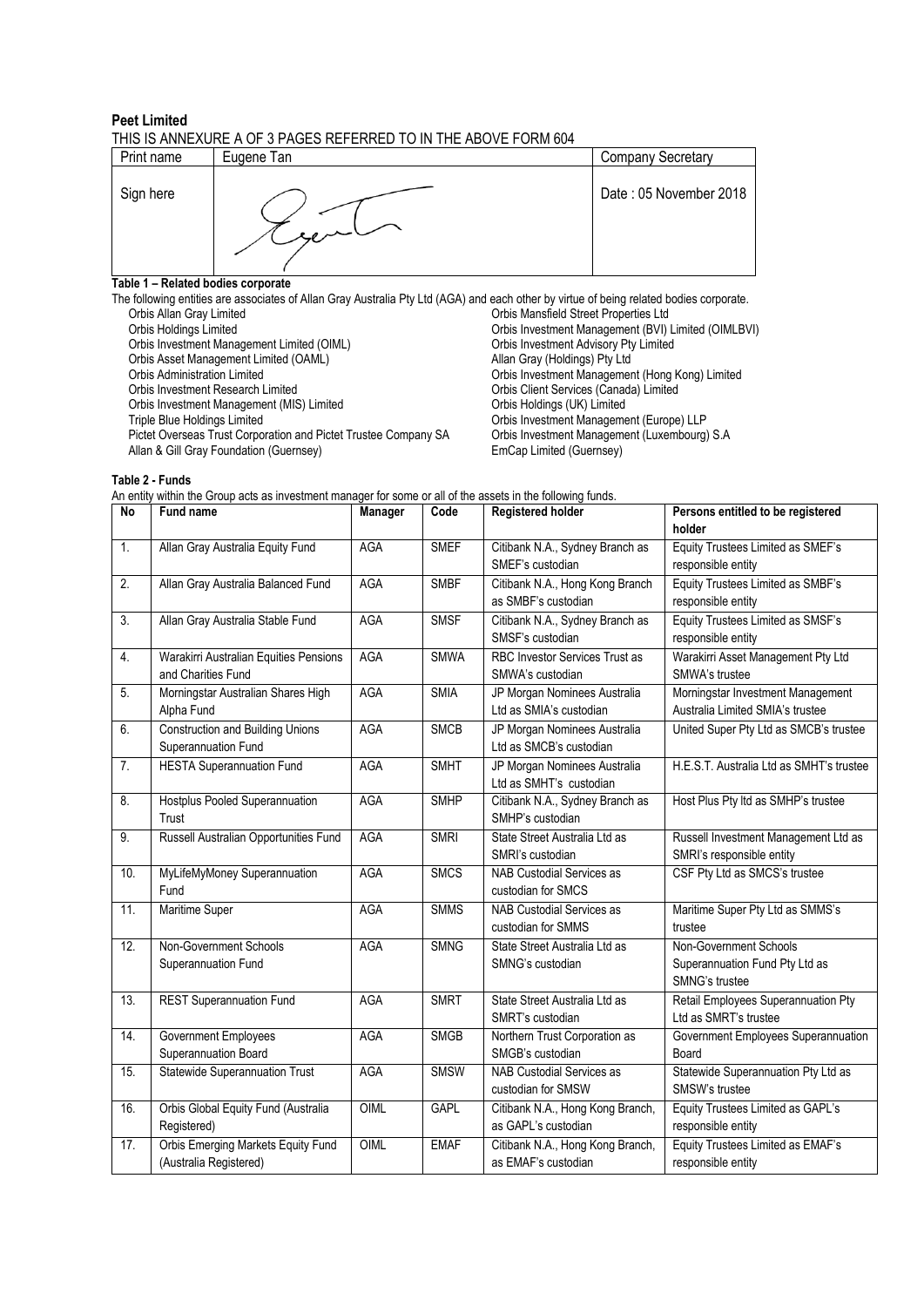### **Peet Limited** THIS IS ANNEXURE A OF 3 PAGES REFERRED TO IN THE ABOVE FORM 604

|            | ----------- |                          |
|------------|-------------|--------------------------|
| Print name | Eugene Tan  | <b>Company Secretary</b> |
| Sign here  |             | Date: 05 November 2018   |

## **Table 1 – Related bodies corporate**

The following entities are associates of Allan Gray Australia Pty Ltd (AGA) and each other by virtue of being related bodies corporate.<br>Orbis Allan Gray Limited Critics are associates of Allan Gray Australia Pty Ltd (AGA) Orbis Mansfield Street Properties Ltd Orbis Holdings Limited **Orbis Investment Management (BVI)** Limited (OIMLBVI) Orbis Investment Management Limited (OIML) Crbis Investment Advisory Pty Limited<br>
Orbis Asset Management Limited (OAML) Allan Gray (Holdings) Pty Ltd Orbis Asset Management Limited (OAML) Orbis Administration Limited<br>
Orbis Investment Nanagement (Hong Kong) Limited<br>
Orbis Investment Research Limited<br>
Orbis Client Services (Canada) Limited **Orbis Client Services (Canada) Limited Orbis Holdings (UK) Limited** Orbis Investment Management (MIS) Limited<br>Triple Blue Holdings Limited Triple Bluestment Management (Europe) LLP<br>Orbis Investment Management (Luxembourg) S.A Pictet Overseas Trust Corporation and Pictet Trustee Company SA Orbis Investment Management Management (Guernsey) S. Allan & Gill Gray Foundation (Guernsey)

**Table 2 - Funds**

| An entity within the Group acts as investment manager for some or all of the assets in the following funds. |  |
|-------------------------------------------------------------------------------------------------------------|--|
|-------------------------------------------------------------------------------------------------------------|--|

| No               | <b>Fund name</b>                                               | Manager    | Code        | <b>Registered holder</b>                                  | Persons entitled to be registered<br>holder                                |
|------------------|----------------------------------------------------------------|------------|-------------|-----------------------------------------------------------|----------------------------------------------------------------------------|
| 1.               | Allan Gray Australia Equity Fund                               | <b>AGA</b> | <b>SMEF</b> | Citibank N.A., Sydney Branch as<br>SMEF's custodian       | Equity Trustees Limited as SMEF's<br>responsible entity                    |
| $\overline{2}$ . | Allan Gray Australia Balanced Fund                             | AGA        | <b>SMBF</b> | Citibank N.A., Hong Kong Branch<br>as SMBF's custodian    | Equity Trustees Limited as SMBF's<br>responsible entity                    |
| 3.               | Allan Gray Australia Stable Fund                               | AGA        | <b>SMSF</b> | Citibank N.A., Sydney Branch as<br>SMSF's custodian       | Equity Trustees Limited as SMSF's<br>responsible entity                    |
| 4.               | Warakirri Australian Equities Pensions<br>and Charities Fund   | AGA        | <b>SMWA</b> | <b>RBC Investor Services Trust as</b><br>SMWA's custodian | Warakirri Asset Management Pty Ltd<br>SMWA's trustee                       |
| 5.               | Morningstar Australian Shares High<br>Alpha Fund               | AGA        | <b>SMIA</b> | JP Morgan Nominees Australia<br>Ltd as SMIA's custodian   | Morningstar Investment Management<br>Australia Limited SMIA's trustee      |
| 6.               | <b>Construction and Building Unions</b><br>Superannuation Fund | <b>AGA</b> | <b>SMCB</b> | JP Morgan Nominees Australia<br>Ltd as SMCB's custodian   | United Super Pty Ltd as SMCB's trustee                                     |
| 7.               | <b>HESTA Superannuation Fund</b>                               | <b>AGA</b> | <b>SMHT</b> | JP Morgan Nominees Australia<br>Ltd as SMHT's custodian   | H.E.S.T. Australia Ltd as SMHT's trustee                                   |
| 8.               | Hostplus Pooled Superannuation<br>Trust                        | AGA        | <b>SMHP</b> | Citibank N.A., Sydney Branch as<br>SMHP's custodian       | Host Plus Pty Itd as SMHP's trustee                                        |
| 9.               | Russell Australian Opportunities Fund                          | AGA        | <b>SMRI</b> | State Street Australia Ltd as<br>SMRI's custodian         | Russell Investment Management Ltd as<br>SMRI's responsible entity          |
| 10.              | MyLifeMyMoney Superannuation<br>Fund                           | AGA        | <b>SMCS</b> | NAB Custodial Services as<br>custodian for SMCS           | CSF Pty Ltd as SMCS's trustee                                              |
| 11.              | Maritime Super                                                 | AGA        | <b>SMMS</b> | NAB Custodial Services as<br>custodian for SMMS           | Maritime Super Pty Ltd as SMMS's<br>trustee                                |
| 12.              | Non-Government Schools<br>Superannuation Fund                  | AGA        | <b>SMNG</b> | State Street Australia Ltd as<br>SMNG's custodian         | Non-Government Schools<br>Superannuation Fund Pty Ltd as<br>SMNG's trustee |
| 13.              | <b>REST Superannuation Fund</b>                                | AGA        | <b>SMRT</b> | State Street Australia Ltd as<br>SMRT's custodian         | Retail Employees Superannuation Pty<br>Ltd as SMRT's trustee               |
| 14.              | <b>Government Employees</b><br>Superannuation Board            | <b>AGA</b> | <b>SMGB</b> | Northern Trust Corporation as<br>SMGB's custodian         | Government Employees Superannuation<br>Board                               |
| 15.              | <b>Statewide Superannuation Trust</b>                          | <b>AGA</b> | <b>SMSW</b> | <b>NAB Custodial Services as</b><br>custodian for SMSW    | Statewide Superannuation Pty Ltd as<br>SMSW's trustee                      |
| 16.              | Orbis Global Equity Fund (Australia<br>Registered)             | OIML       | <b>GAPL</b> | Citibank N.A., Hong Kong Branch,<br>as GAPL's custodian   | Equity Trustees Limited as GAPL's<br>responsible entity                    |
| 17.              | Orbis Emerging Markets Equity Fund<br>(Australia Registered)   | OIML       | <b>EMAF</b> | Citibank N.A., Hong Kong Branch,<br>as EMAF's custodian   | Equity Trustees Limited as EMAF's<br>responsible entity                    |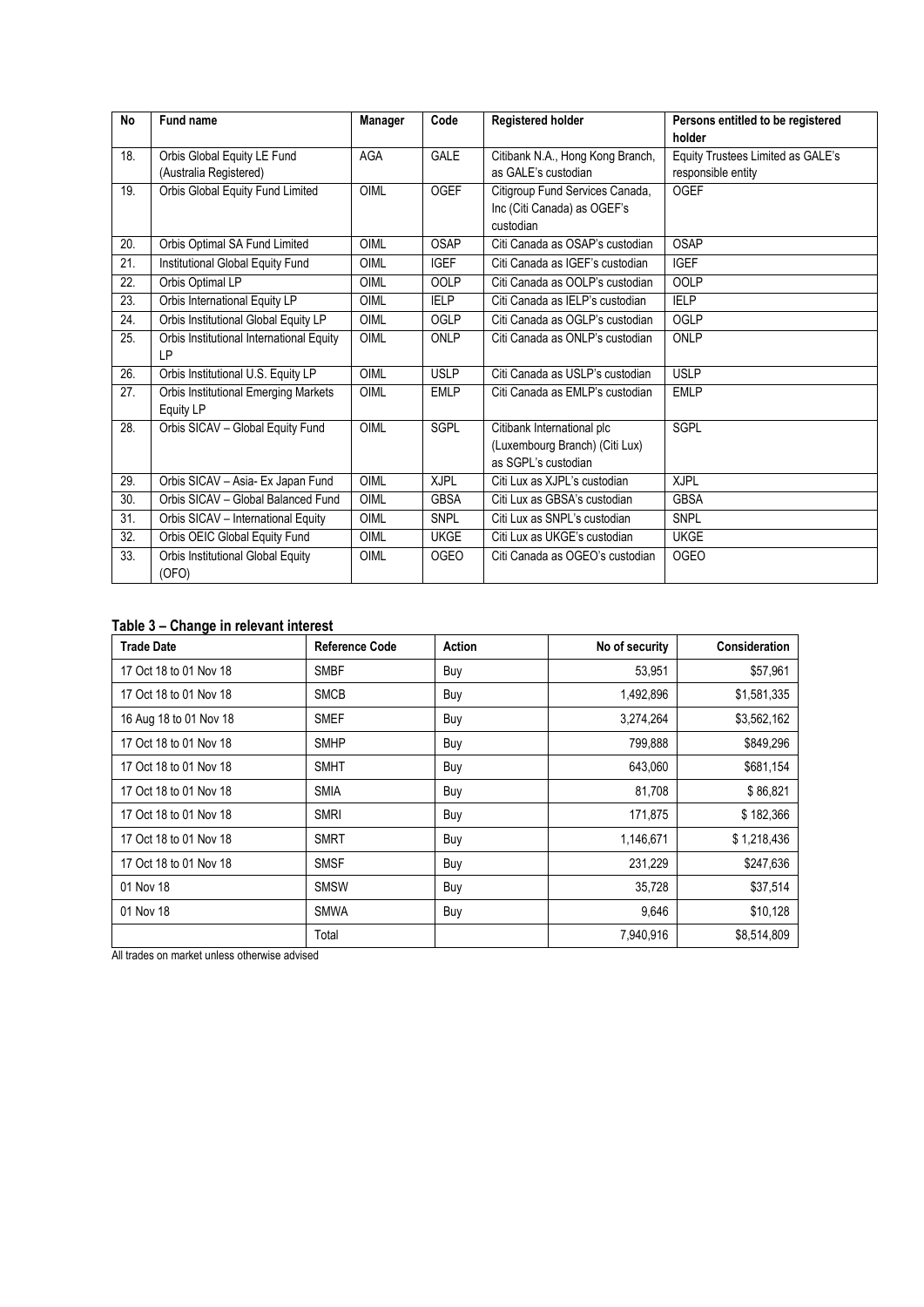| <b>No</b>         | Fund name                                   | Manager | Code        | <b>Registered holder</b>         | Persons entitled to be registered |
|-------------------|---------------------------------------------|---------|-------------|----------------------------------|-----------------------------------|
|                   |                                             |         |             |                                  | holder                            |
| 18.               | Orbis Global Equity LE Fund                 | AGA     | <b>GALE</b> | Citibank N.A., Hong Kong Branch, | Equity Trustees Limited as GALE's |
|                   | (Australia Registered)                      |         |             | as GALE's custodian              | responsible entity                |
| 19.               | Orbis Global Equity Fund Limited            | OIML    | <b>OGEF</b> | Citigroup Fund Services Canada,  | <b>OGEF</b>                       |
|                   |                                             |         |             | Inc (Citi Canada) as OGEF's      |                                   |
|                   |                                             |         |             | custodian                        |                                   |
| 20.               | Orbis Optimal SA Fund Limited               | OIML    | OSAP        | Citi Canada as OSAP's custodian  | OSAP                              |
| $\overline{21}$ . | Institutional Global Equity Fund            | OIML    | <b>IGEF</b> | Citi Canada as IGEF's custodian  | <b>IGEF</b>                       |
| 22.               | Orbis Optimal LP                            | OIML    | <b>OOLP</b> | Citi Canada as OOLP's custodian  | <b>OOLP</b>                       |
| 23.               | Orbis International Equity LP               | OIML    | <b>IELP</b> | Citi Canada as IELP's custodian  | <b>IELP</b>                       |
| 24.               | Orbis Institutional Global Equity LP        | OIML    | OGLP        | Citi Canada as OGLP's custodian  | OGLP                              |
| 25.               | Orbis Institutional International Equity    | OIML    | ONLP        | Citi Canada as ONLP's custodian  | ONLP                              |
|                   | LP                                          |         |             |                                  |                                   |
| 26.               | Orbis Institutional U.S. Equity LP          | OIML    | <b>USLP</b> | Citi Canada as USLP's custodian  | <b>USLP</b>                       |
| 27.               | <b>Orbis Institutional Emerging Markets</b> | OIML    | <b>EMLP</b> | Citi Canada as EMLP's custodian  | <b>EMLP</b>                       |
|                   | Equity LP                                   |         |             |                                  |                                   |
| 28.               | Orbis SICAV - Global Equity Fund            | OIML    | <b>SGPL</b> | Citibank International plc       | <b>SGPL</b>                       |
|                   |                                             |         |             | (Luxembourg Branch) (Citi Lux)   |                                   |
|                   |                                             |         |             | as SGPL's custodian              |                                   |
| 29.               | Orbis SICAV - Asia- Ex Japan Fund           | OIML    | <b>XJPL</b> | Citi Lux as XJPL's custodian     | <b>XJPL</b>                       |
| 30.               | Orbis SICAV - Global Balanced Fund          | OIML    | <b>GBSA</b> | Citi Lux as GBSA's custodian     | <b>GBSA</b>                       |
| 31.               | Orbis SICAV - International Equity          | OIML    | <b>SNPL</b> | Citi Lux as SNPL's custodian     | <b>SNPL</b>                       |
| 32.               | Orbis OEIC Global Equity Fund               | OIML    | <b>UKGE</b> | Citi Lux as UKGE's custodian     | <b>UKGE</b>                       |
| 33.               | Orbis Institutional Global Equity           | OIML    | <b>OGEO</b> | Citi Canada as OGEO's custodian  | <b>OGEO</b>                       |
|                   | (OFO)                                       |         |             |                                  |                                   |

## **Table 3 – Change in relevant interest**

| <b>Trade Date</b>      | <b>Reference Code</b> | Action | No of security | <b>Consideration</b> |
|------------------------|-----------------------|--------|----------------|----------------------|
| 17 Oct 18 to 01 Nov 18 | <b>SMBF</b>           | Buy    | 53,951         | \$57,961             |
| 17 Oct 18 to 01 Nov 18 | <b>SMCB</b>           | Buy    | 1,492,896      | \$1,581,335          |
| 16 Aug 18 to 01 Nov 18 | <b>SMEF</b>           | Buy    | 3,274,264      | \$3,562,162          |
| 17 Oct 18 to 01 Nov 18 | <b>SMHP</b>           | Buy    | 799,888        | \$849,296            |
| 17 Oct 18 to 01 Nov 18 | <b>SMHT</b>           | Buy    | 643,060        | \$681,154            |
| 17 Oct 18 to 01 Nov 18 | <b>SMIA</b>           | Buy    | 81,708         | \$86,821             |
| 17 Oct 18 to 01 Nov 18 | <b>SMRI</b>           | Buy    | 171,875        | \$182,366            |
| 17 Oct 18 to 01 Nov 18 | <b>SMRT</b>           | Buy    | 1,146,671      | \$1,218,436          |
| 17 Oct 18 to 01 Nov 18 | <b>SMSF</b>           | Buy    | 231,229        | \$247,636            |
| 01 Nov 18              | <b>SMSW</b>           | Buy    | 35,728         | \$37,514             |
| 01 Nov 18              | <b>SMWA</b>           | Buy    | 9,646          | \$10,128             |
|                        | Total                 |        | 7,940,916      | \$8,514,809          |

All trades on market unless otherwise advised